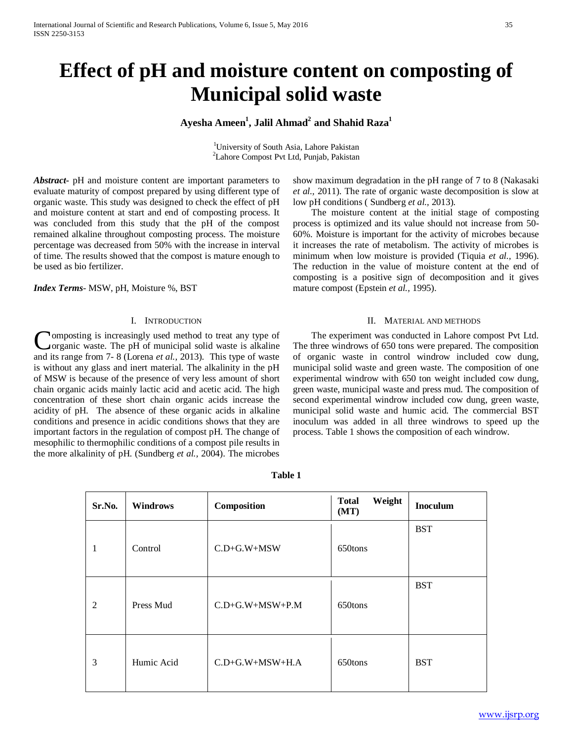# **Effect of pH and moisture content on composting of Municipal solid waste**

# $\mathbf{A}$ yesha Ameen $^1$ , Jalil Ahmad $^2$  and Shahid Raza $^1$

<sup>1</sup>University of South Asia, Lahore Pakistan <sup>2</sup>Lahore Compost Pvt Ltd, Punjab, Pakistan

*Abstract***-** pH and moisture content are important parameters to evaluate maturity of compost prepared by using different type of organic waste. This study was designed to check the effect of pH and moisture content at start and end of composting process. It was concluded from this study that the pH of the compost remained alkaline throughout composting process. The moisture percentage was decreased from 50% with the increase in interval of time. The results showed that the compost is mature enough to be used as bio fertilizer.

*Index Terms*- MSW, pH, Moisture %, BST

# I. INTRODUCTION

omposting is increasingly used method to treat any type of organic waste. The pH of municipal solid waste is alkaline **C**omposting is increasingly used method to treat any type of organic waste. The pH of municipal solid waste is alkaline and its range from 7- 8 (Lorena *et al.*, 2013). This type of waste is without any glass and inert material. The alkalinity in the pH of MSW is because of the presence of very less amount of short chain organic acids mainly lactic acid and acetic acid. The high concentration of these short chain organic acids increase the acidity of pH. The absence of these organic acids in alkaline conditions and presence in acidic conditions shows that they are important factors in the regulation of compost pH. The change of mesophilic to thermophilic conditions of a compost pile results in the more alkalinity of pH. (Sundberg *et al.,* 2004). The microbes

show maximum degradation in the pH range of 7 to 8 (Nakasaki *et al.,* 2011). The rate of organic waste decomposition is slow at low pH conditions ( Sundberg *et al.,* 2013).

 The moisture content at the initial stage of composting process is optimized and its value should not increase from 50- 60%. Moisture is important for the activity of microbes because it increases the rate of metabolism. The activity of microbes is minimum when low moisture is provided (Tiquia *et al.,* 1996). The reduction in the value of moisture content at the end of composting is a positive sign of decomposition and it gives mature compost (Epstein *et al.,* 1995).

# II. MATERIAL AND METHODS

 The experiment was conducted in Lahore compost Pvt Ltd. The three windrows of 650 tons were prepared. The composition of organic waste in control windrow included cow dung, municipal solid waste and green waste. The composition of one experimental windrow with 650 ton weight included cow dung, green waste, municipal waste and press mud. The composition of second experimental windrow included cow dung, green waste, municipal solid waste and humic acid. The commercial BST inoculum was added in all three windrows to speed up the process. Table 1 shows the composition of each windrow.

| Sr.No. | <b>Windrows</b> | Composition       | Weight<br><b>Total</b><br>(MT) | <b>Inoculum</b> |
|--------|-----------------|-------------------|--------------------------------|-----------------|
| 1      | Control         | $C.D+G.W+MSW$     | 650tons                        | <b>BST</b>      |
| 2      | Press Mud       | $C.D+G.W+MSW+P.M$ | 650tons                        | <b>BST</b>      |
| 3      | Humic Acid      | $C.D+G.W+MSW+H.A$ | 650tons                        | <b>BST</b>      |

**Table 1**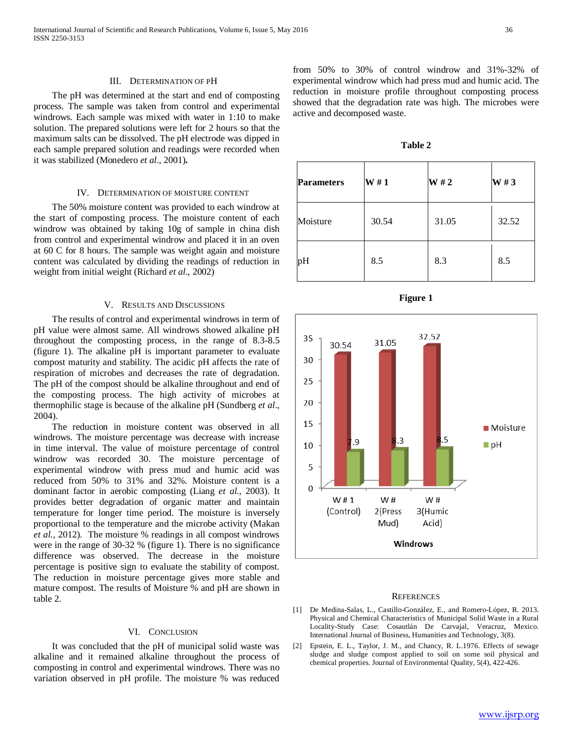### III. DETERMINATION OF PH

 The pH was determined at the start and end of composting process. The sample was taken from control and experimental windrows. Each sample was mixed with water in 1:10 to make solution. The prepared solutions were left for 2 hours so that the maximum salts can be dissolved. The pH electrode was dipped in each sample prepared solution and readings were recorded when it was stabilized (Monedero *et al*., 2001)**.**

#### IV. DETERMINATION OF MOISTURE CONTENT

 The 50% moisture content was provided to each windrow at the start of composting process. The moisture content of each windrow was obtained by taking 10g of sample in china dish from control and experimental windrow and placed it in an oven at 60 C for 8 hours. The sample was weight again and moisture content was calculated by dividing the readings of reduction in weight from initial weight (Richard *et al*., 2002)

# V. RESULTS AND DISCUSSIONS

 The results of control and experimental windrows in term of pH value were almost same. All windrows showed alkaline pH throughout the composting process, in the range of 8.3-8.5 (figure 1). The alkaline pH is important parameter to evaluate compost maturity and stability. The acidic pH affects the rate of respiration of microbes and decreases the rate of degradation. The pH of the compost should be alkaline throughout and end of the composting process. The high activity of microbes at thermophilic stage is because of the alkaline pH (Sundberg *et al*., 2004).

 The reduction in moisture content was observed in all windrows. The moisture percentage was decrease with increase in time interval. The value of moisture percentage of control windrow was recorded 30. The moisture percentage of experimental windrow with press mud and humic acid was reduced from 50% to 31% and 32%. Moisture content is a dominant factor in aerobic composting (Liang *et al.,* 2003). It provides better degradation of organic matter and maintain temperature for longer time period. The moisture is inversely proportional to the temperature and the microbe activity (Makan *et al.,* 2012). The moisture % readings in all compost windrows were in the range of 30-32 % (figure 1). There is no significance difference was observed. The decrease in the moisture percentage is positive sign to evaluate the stability of compost. The reduction in moisture percentage gives more stable and mature compost. The results of Moisture % and pH are shown in table 2.

# VI. CONCLUSION

 It was concluded that the pH of municipal solid waste was alkaline and it remained alkaline throughout the process of composting in control and experimental windrows. There was no variation observed in pH profile. The moisture % was reduced from 50% to 30% of control windrow and 31%-32% of experimental windrow which had press mud and humic acid. The reduction in moisture profile throughout composting process showed that the degradation rate was high. The microbes were active and decomposed waste.

**Table 2**

| <b>Parameters</b> | W#1   | W#2   | W#3   |
|-------------------|-------|-------|-------|
| Moisture          | 30.54 | 31.05 | 32.52 |
| pH                | 8.5   | 8.3   | 8.5   |



#### **REFERENCES**

- [1] De Medina-Salas, L., Castillo-González, E., and Romero-López, R. 2013. Physical and Chemical Characteristics of Municipal Solid Waste in a Rural Locality-Study Case: Cosautlán De Carvajal, Veracruz, Mexico. International Journal of Business, Humanities and Technology, 3(8).
- [2] Epstein, E. L., Taylor, J. M., and Chancy, R. L.1976. Effects of sewage sludge and sludge compost applied to soil on some soil physical and chemical properties. Journal of Environmental Quality, 5(4), 422-426.